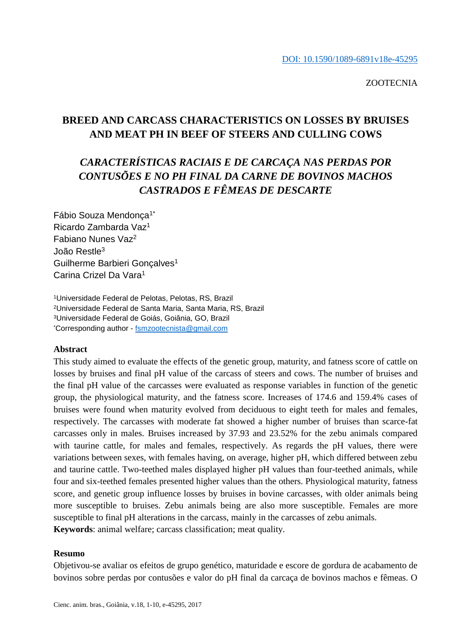ZOOTECNIA

## **BREED AND CARCASS CHARACTERISTICS ON LOSSES BY BRUISES AND MEAT PH IN BEEF OF STEERS AND CULLING COWS**

# *CARACTERÍSTICAS RACIAIS E DE CARCAÇA NAS PERDAS POR CONTUSÕES E NO PH FINAL DA CARNE DE BOVINOS MACHOS CASTRADOS E FÊMEAS DE DESCARTE*

Fábio Souza Mendonça1\* Ricardo Zambarda Vaz<sup>1</sup> Fabiano Nunes Vaz<sup>2</sup> João Restle<sup>3</sup> Guilherme Barbieri Gonçalves<sup>1</sup> Carina Crizel Da Vara<sup>1</sup>

Universidade Federal de Pelotas, Pelotas, RS, Brazil Universidade Federal de Santa Maria, Santa Maria, RS, Brazil Universidade Federal de Goiás, Goiânia, GO, Brazil \*Corresponding author - [fsmzootecnista@gmail.com](mailto:fsmzootecnista@gmail.com)

#### **Abstract**

This study aimed to evaluate the effects of the genetic group, maturity, and fatness score of cattle on losses by bruises and final pH value of the carcass of steers and cows. The number of bruises and the final pH value of the carcasses were evaluated as response variables in function of the genetic group, the physiological maturity, and the fatness score. Increases of 174.6 and 159.4% cases of bruises were found when maturity evolved from deciduous to eight teeth for males and females, respectively. The carcasses with moderate fat showed a higher number of bruises than scarce-fat carcasses only in males. Bruises increased by 37.93 and 23.52% for the zebu animals compared with taurine cattle, for males and females, respectively. As regards the pH values, there were variations between sexes, with females having, on average, higher pH, which differed between zebu and taurine cattle. Two-teethed males displayed higher pH values than four-teethed animals, while four and six-teethed females presented higher values than the others. Physiological maturity, fatness score, and genetic group influence losses by bruises in bovine carcasses, with older animals being more susceptible to bruises. Zebu animals being are also more susceptible. Females are more susceptible to final pH alterations in the carcass, mainly in the carcasses of zebu animals. **Keywords**: animal welfare; carcass classification; meat quality.

#### **Resumo**

Objetivou-se avaliar os efeitos de grupo genético, maturidade e escore de gordura de acabamento de bovinos sobre perdas por contusões e valor do pH final da carcaça de bovinos machos e fêmeas. O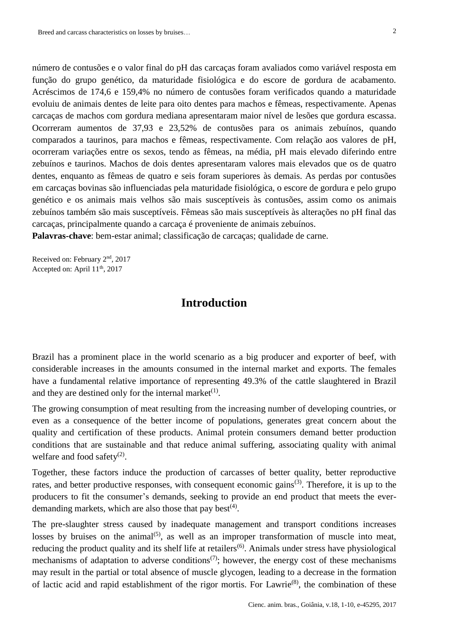número de contusões e o valor final do pH das carcaças foram avaliados como variável resposta em função do grupo genético, da maturidade fisiológica e do escore de gordura de acabamento. Acréscimos de 174,6 e 159,4% no número de contusões foram verificados quando a maturidade evoluiu de animais dentes de leite para oito dentes para machos e fêmeas, respectivamente. Apenas carcaças de machos com gordura mediana apresentaram maior nível de lesões que gordura escassa. Ocorreram aumentos de 37,93 e 23,52% de contusões para os animais zebuínos, quando comparados a taurinos, para machos e fêmeas, respectivamente. Com relação aos valores de pH, ocorreram variações entre os sexos, tendo as fêmeas, na média, pH mais elevado diferindo entre zebuínos e taurinos. Machos de dois dentes apresentaram valores mais elevados que os de quatro dentes, enquanto as fêmeas de quatro e seis foram superiores às demais. As perdas por contusões em carcaças bovinas são influenciadas pela maturidade fisiológica, o escore de gordura e pelo grupo genético e os animais mais velhos são mais susceptíveis às contusões, assim como os animais zebuínos também são mais susceptíveis. Fêmeas são mais susceptíveis às alterações no pH final das carcaças, principalmente quando a carcaça é proveniente de animais zebuínos.

**Palavras-chave**: bem-estar animal; classificação de carcaças; qualidade de carne.

Received on: February 2nd, 2017 Accepted on: April  $11<sup>th</sup>$ , 2017

#### **Introduction**

Brazil has a prominent place in the world scenario as a big producer and exporter of beef, with considerable increases in the amounts consumed in the internal market and exports. The females have a fundamental relative importance of representing 49.3% of the cattle slaughtered in Brazil and they are destined only for the internal market $(1)$ .

The growing consumption of meat resulting from the increasing number of developing countries, or even as a consequence of the better income of populations, generates great concern about the quality and certification of these products. Animal protein consumers demand better production conditions that are sustainable and that reduce animal suffering, associating quality with animal welfare and food safety $(2)$ .

Together, these factors induce the production of carcasses of better quality, better reproductive rates, and better productive responses, with consequent economic gains<sup>(3)</sup>. Therefore, it is up to the producers to fit the consumer's demands, seeking to provide an end product that meets the everdemanding markets, which are also those that pay best<sup>(4)</sup>.

The pre-slaughter stress caused by inadequate management and transport conditions increases losses by bruises on the animal<sup> $(5)$ </sup>, as well as an improper transformation of muscle into meat, reducing the product quality and its shelf life at retailers<sup>(6)</sup>. Animals under stress have physiological mechanisms of adaptation to adverse conditions<sup> $(7)$ </sup>; however, the energy cost of these mechanisms may result in the partial or total absence of muscle glycogen, leading to a decrease in the formation of lactic acid and rapid establishment of the rigor mortis. For Lawrie<sup>(8)</sup>, the combination of these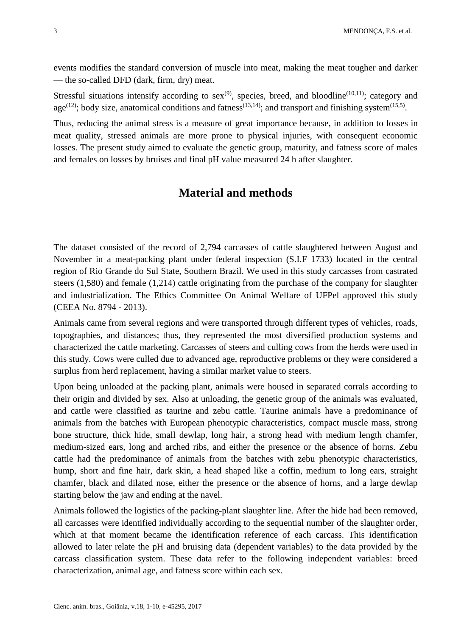events modifies the standard conversion of muscle into meat, making the meat tougher and darker — the so-called DFD (dark, firm, dry) meat.

Stressful situations intensify according to sex<sup>(9)</sup>, species, breed, and bloodline<sup>(10,11)</sup>; category and age<sup>(12)</sup>; body size, anatomical conditions and fatness<sup>(13,14)</sup>; and transport and finishing system<sup>(15,5)</sup>.

Thus, reducing the animal stress is a measure of great importance because, in addition to losses in meat quality, stressed animals are more prone to physical injuries, with consequent economic losses. The present study aimed to evaluate the genetic group, maturity, and fatness score of males and females on losses by bruises and final pH value measured 24 h after slaughter.

### **Material and methods**

The dataset consisted of the record of 2,794 carcasses of cattle slaughtered between August and November in a meat-packing plant under federal inspection (S.I.F 1733) located in the central region of Rio Grande do Sul State, Southern Brazil. We used in this study carcasses from castrated steers (1,580) and female (1,214) cattle originating from the purchase of the company for slaughter and industrialization. The Ethics Committee On Animal Welfare of UFPel approved this study (CEEA No. 8794 - 2013).

Animals came from several regions and were transported through different types of vehicles, roads, topographies, and distances; thus, they represented the most diversified production systems and characterized the cattle marketing. Carcasses of steers and culling cows from the herds were used in this study. Cows were culled due to advanced age, reproductive problems or they were considered a surplus from herd replacement, having a similar market value to steers.

Upon being unloaded at the packing plant, animals were housed in separated corrals according to their origin and divided by sex. Also at unloading, the genetic group of the animals was evaluated, and cattle were classified as taurine and zebu cattle. Taurine animals have a predominance of animals from the batches with European phenotypic characteristics, compact muscle mass, strong bone structure, thick hide, small dewlap, long hair, a strong head with medium length chamfer, medium-sized ears, long and arched ribs, and either the presence or the absence of horns. Zebu cattle had the predominance of animals from the batches with zebu phenotypic characteristics, hump, short and fine hair, dark skin, a head shaped like a coffin, medium to long ears, straight chamfer, black and dilated nose, either the presence or the absence of horns, and a large dewlap starting below the jaw and ending at the navel.

Animals followed the logistics of the packing-plant slaughter line. After the hide had been removed, all carcasses were identified individually according to the sequential number of the slaughter order, which at that moment became the identification reference of each carcass. This identification allowed to later relate the pH and bruising data (dependent variables) to the data provided by the carcass classification system. These data refer to the following independent variables: breed characterization, animal age, and fatness score within each sex.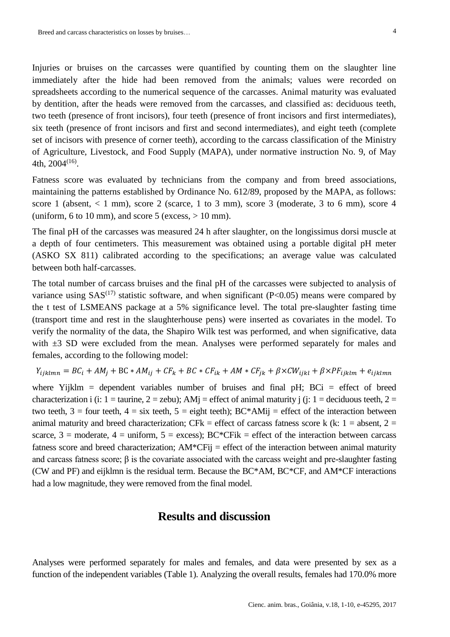Injuries or bruises on the carcasses were quantified by counting them on the slaughter line immediately after the hide had been removed from the animals; values were recorded on spreadsheets according to the numerical sequence of the carcasses. Animal maturity was evaluated by dentition, after the heads were removed from the carcasses, and classified as: deciduous teeth, two teeth (presence of front incisors), four teeth (presence of front incisors and first intermediates), six teeth (presence of front incisors and first and second intermediates), and eight teeth (complete set of incisors with presence of corner teeth), according to the carcass classification of the Ministry of Agriculture, Livestock, and Food Supply (MAPA), under normative instruction No. 9, of May  $4th$ ,  $2004$ <sup>(16)</sup>.

Fatness score was evaluated by technicians from the company and from breed associations, maintaining the patterns established by Ordinance No. 612/89, proposed by the MAPA, as follows: score 1 (absent,  $\lt 1$  mm), score 2 (scarce, 1 to 3 mm), score 3 (moderate, 3 to 6 mm), score 4 (uniform, 6 to 10 mm), and score 5 (excess,  $> 10$  mm).

The final pH of the carcasses was measured 24 h after slaughter, on the longissimus dorsi muscle at a depth of four centimeters. This measurement was obtained using a portable digital pH meter (ASKO SX 811) calibrated according to the specifications; an average value was calculated between both half-carcasses.

The total number of carcass bruises and the final pH of the carcasses were subjected to analysis of variance using  $SAS^{(17)}$  statistic software, and when significant (P<0.05) means were compared by the t test of LSMEANS package at a 5% significance level. The total pre-slaughter fasting time (transport time and rest in the slaughterhouse pens) were inserted as covariates in the model. To verify the normality of the data, the Shapiro Wilk test was performed, and when significative, data with  $\pm 3$  SD were excluded from the mean. Analyses were performed separately for males and females, according to the following model:

$$
Y_{ijklmn} = BC_i + AM_j + BC * AM_{ij} + CF_k + BC * CF_{ik} + AM * CF_{jk} + \beta \times CW_{ijkl} + \beta \times PF_{ijklm} + e_{ijklmn}
$$

where Yijklm = dependent variables number of bruises and final  $pH$ ;  $BCi =$  effect of breed characterization i (i: 1 = taurine, 2 = zebu); AMj = effect of animal maturity j (j: 1 = deciduous teeth, 2 = two teeth,  $3 =$  four teeth,  $4 =$  six teeth,  $5 =$  eight teeth); BC\*AMij = effect of the interaction between animal maturity and breed characterization; CFk = effect of carcass fatness score k (k:  $1 =$  absent,  $2 =$ scarce,  $3 =$  moderate,  $4 =$  uniform,  $5 =$  excess); BC\*CFik = effect of the interaction between carcass fatness score and breed characterization;  $AM^*CFii =$  effect of the interaction between animal maturity and carcass fatness score; β is the covariate associated with the carcass weight and pre-slaughter fasting (CW and PF) and eijklmn is the residual term. Because the BC\*AM, BC\*CF, and AM\*CF interactions had a low magnitude, they were removed from the final model.

#### **Results and discussion**

Analyses were performed separately for males and females, and data were presented by sex as a function of the independent variables (Table 1). Analyzing the overall results, females had 170.0% more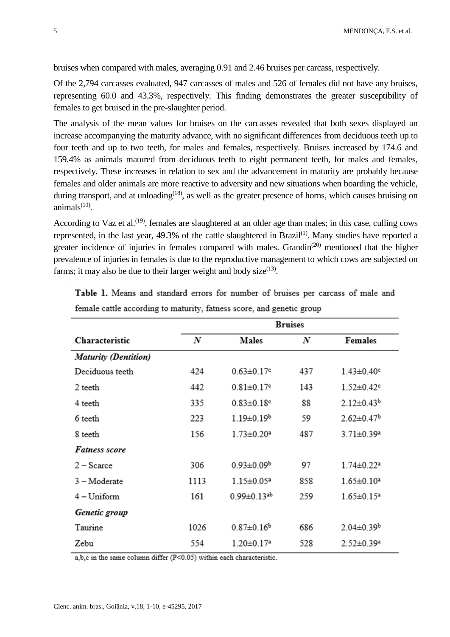bruises when compared with males, averaging 0.91 and 2.46 bruises per carcass, respectively.

Of the 2,794 carcasses evaluated, 947 carcasses of males and 526 of females did not have any bruises, representing 60.0 and 43.3%, respectively. This finding demonstrates the greater susceptibility of females to get bruised in the pre-slaughter period.

The analysis of the mean values for bruises on the carcasses revealed that both sexes displayed an increase accompanying the maturity advance, with no significant differences from deciduous teeth up to four teeth and up to two teeth, for males and females, respectively. Bruises increased by 174.6 and 159.4% as animals matured from deciduous teeth to eight permanent teeth, for males and females, respectively. These increases in relation to sex and the advancement in maturity are probably because females and older animals are more reactive to adversity and new situations when boarding the vehicle, during transport, and at unloading<sup> $(18)$ </sup>, as well as the greater presence of horns, which causes bruising on animals $(19)$ .

According to Vaz et al.<sup>(19)</sup>, females are slaughtered at an older age than males; in this case, culling cows represented, in the last year, 49.3% of the cattle slaughtered in Brazil<sup>(1)</sup>. Many studies have reported a greater incidence of injuries in females compared with males. Grandin<sup> $(20)$ </sup> mentioned that the higher prevalence of injuries in females is due to the reproductive management to which cows are subjected on farms; it may also be due to their larger weight and body size $^{(13)}$ .

|                             | <b>Bruises</b>            |                               |     |                              |  |
|-----------------------------|---------------------------|-------------------------------|-----|------------------------------|--|
| Characteristic              | $_{\scriptscriptstyle N}$ | <b>Males</b>                  | N   | Females                      |  |
| <b>Maturity (Dentition)</b> |                           |                               |     |                              |  |
| Deciduous teeth             | 424                       | $0.63 \pm 0.17$ °             | 437 | $1.43 \pm 0.40$ <sup>c</sup> |  |
| 2 teeth                     | 442                       | $0.81 \pm 0.17$ °             | 143 | $1.52 \pm 0.42$ <sup>c</sup> |  |
| 4 teeth                     | 335                       | $0.83 \pm 0.18$ c             | 88  | $2.12 \pm 0.43$ <sup>b</sup> |  |
| 6 teeth                     | 223                       | $1.19 \pm 0.19^b$             | 59  | $2.62 \pm 0.47$ <sup>b</sup> |  |
| 8 teeth                     | 156                       | $1.73 \pm 0.20$ <sup>a</sup>  | 487 | $3.71 \pm 0.39$ <sup>a</sup> |  |
| <b>Fatness score</b>        |                           |                               |     |                              |  |
| $2 - Sc$ arce               | 306                       | $0.93 \pm 0.09^b$             | 97  | $1.74 \pm 0.22$ <sup>a</sup> |  |
| $3 -$ Moderate              | 1113                      | $1.15 \pm 0.05^a$             | 858 | $1.65 \pm 0.10^a$            |  |
| $4 - Uniform$               | 161                       | $0.99 \pm 0.13$ <sup>ab</sup> | 259 | $1.65 \pm 0.15$ <sup>a</sup> |  |
| Genetic group               |                           |                               |     |                              |  |
| Taurine                     | 1026                      | $0.87 \pm 0.16^b$             | 686 | $2.04 \pm 0.39^b$            |  |
| Zebu                        | 554                       | $1.20 \pm 0.17$ <sup>a</sup>  | 528 | $2.52 \pm 0.39$ <sup>a</sup> |  |

Table 1. Means and standard errors for number of bruises per carcass of male and female cattle according to maturity, fatness score, and genetic group

a,b,c in the same column differ (P<0.05) within each characteristic.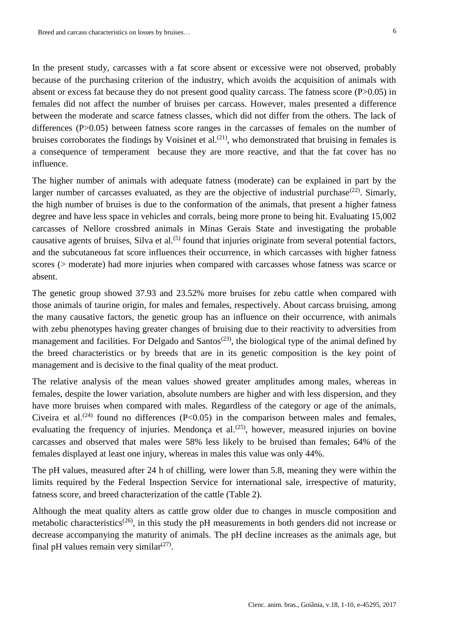In the present study, carcasses with a fat score absent or excessive were not observed, probably because of the purchasing criterion of the industry, which avoids the acquisition of animals with absent or excess fat because they do not present good quality carcass. The fatness score (P>0.05) in females did not affect the number of bruises per carcass. However, males presented a difference between the moderate and scarce fatness classes, which did not differ from the others. The lack of differences (P>0.05) between fatness score ranges in the carcasses of females on the number of bruises corroborates the findings by Voisinet et al.<sup> $(21)$ </sup>, who demonstrated that bruising in females is a consequence of temperament because they are more reactive, and that the fat cover has no influence.

The higher number of animals with adequate fatness (moderate) can be explained in part by the larger number of carcasses evaluated, as they are the objective of industrial purchase<sup> $(22)$ </sup>. Simarly, the high number of bruises is due to the conformation of the animals, that present a higher fatness degree and have less space in vehicles and corrals, being more prone to being hit. Evaluating 15,002 carcasses of Nellore crossbred animals in Minas Gerais State and investigating the probable causative agents of bruises, Silva et al.<sup> $(5)$ </sup> found that injuries originate from several potential factors, and the subcutaneous fat score influences their occurrence, in which carcasses with higher fatness scores (> moderate) had more injuries when compared with carcasses whose fatness was scarce or absent.

The genetic group showed 37.93 and 23.52% more bruises for zebu cattle when compared with those animals of taurine origin, for males and females, respectively. About carcass bruising, among the many causative factors, the genetic group has an influence on their occurrence, with animals with zebu phenotypes having greater changes of bruising due to their reactivity to adversities from management and facilities. For Delgado and Santos<sup> $(23)$ </sup>, the biological type of the animal defined by the breed characteristics or by breeds that are in its genetic composition is the key point of management and is decisive to the final quality of the meat product.

The relative analysis of the mean values showed greater amplitudes among males, whereas in females, despite the lower variation, absolute numbers are higher and with less dispersion, and they have more bruises when compared with males. Regardless of the category or age of the animals, Civeira et al.<sup>(24)</sup> found no differences (P<0.05) in the comparison between males and females, evaluating the frequency of injuries. Mendonça et al.<sup> $(25)$ </sup>, however, measured injuries on bovine carcasses and observed that males were 58% less likely to be bruised than females; 64% of the females displayed at least one injury, whereas in males this value was only 44%.

The pH values, measured after 24 h of chilling, were lower than 5.8, meaning they were within the limits required by the Federal Inspection Service for international sale, irrespective of maturity, fatness score, and breed characterization of the cattle (Table 2).

Although the meat quality alters as cattle grow older due to changes in muscle composition and metabolic characteristics<sup>(26)</sup>, in this study the pH measurements in both genders did not increase or decrease accompanying the maturity of animals. The pH decline increases as the animals age, but final pH values remain very similar $(27)$ .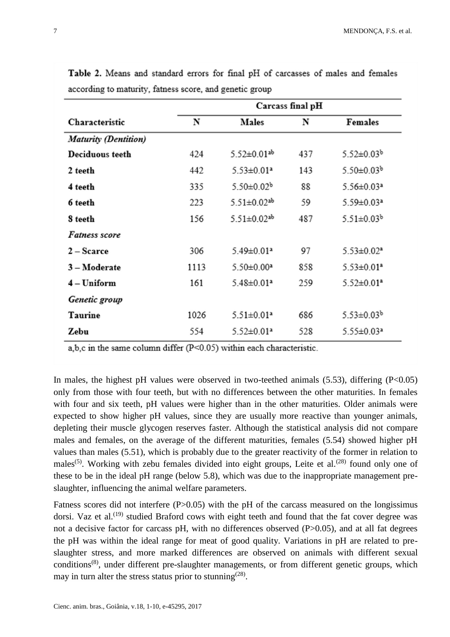| Characteristic              | Carcass final pH |                               |     |                              |  |  |
|-----------------------------|------------------|-------------------------------|-----|------------------------------|--|--|
|                             | N                | <b>Males</b>                  | N   | <b>Females</b>               |  |  |
| <b>Maturity (Dentition)</b> |                  |                               |     |                              |  |  |
| Deciduous teeth             | 424              | $5.52 \pm 0.01$ <sup>ab</sup> | 437 | $5.52 \pm 0.03^b$            |  |  |
| 2 teeth                     | 442              | $5.53 \pm 0.01$ <sup>a</sup>  | 143 | $5.50 \pm 0.03^b$            |  |  |
| 4 teeth                     | 335              | $5.50 \pm 0.02^b$             | 88  | $5.56 \pm 0.03$ <sup>a</sup> |  |  |
| 6 teeth                     | 223              | 5.51 $\pm$ 0.02 <sup>ab</sup> | 59  | $5.59 \pm 0.03$ <sup>a</sup> |  |  |
| <b>8</b> teeth              | 156              | 5.51 $\pm$ 0.02 <sup>ab</sup> | 487 | $5.51 \pm 0.03^b$            |  |  |
| <b>Fatness score</b>        |                  |                               |     |                              |  |  |
| $2 -$ Scarce                | 306              | $5.49 \pm 0.01$ <sup>a</sup>  | 97  | $5.53 \pm 0.02^a$            |  |  |
| 3-Moderate                  | 1113             | $5.50 \pm 0.00$ <sup>a</sup>  | 858 | $5.53 \pm 0.01^a$            |  |  |
| $4 - Uniform$               | 161              | $5.48 \pm 0.01$ <sup>a</sup>  | 259 | $5.52 \pm 0.01^a$            |  |  |
| Genetic group               |                  |                               |     |                              |  |  |
| <b>Taurine</b>              | 1026             | $5.51 \pm 0.01$ <sup>a</sup>  | 686 | $5.53 \pm 0.03^b$            |  |  |
| Zebu                        | 554              | $5.52 \pm 0.01$ <sup>a</sup>  | 528 | $5.55 \pm 0.03$ <sup>a</sup> |  |  |
|                             |                  |                               |     |                              |  |  |

Table 2. Means and standard errors for final pH of carcasses of males and females according to maturity, fatness score, and genetic group

a,b,c in the same column differ  $(P<0.05)$  within each characteristic.

In males, the highest pH values were observed in two-teethed animals  $(5.53)$ , differing  $(P<0.05)$ only from those with four teeth, but with no differences between the other maturities. In females with four and six teeth, pH values were higher than in the other maturities. Older animals were expected to show higher pH values, since they are usually more reactive than younger animals, depleting their muscle glycogen reserves faster. Although the statistical analysis did not compare males and females, on the average of the different maturities, females (5.54) showed higher pH values than males (5.51), which is probably due to the greater reactivity of the former in relation to males<sup>(5)</sup>. Working with zebu females divided into eight groups, Leite et al.<sup>(28)</sup> found only one of these to be in the ideal pH range (below 5.8), which was due to the inappropriate management preslaughter, influencing the animal welfare parameters.

Fatness scores did not interfere (P>0.05) with the pH of the carcass measured on the longissimus dorsi. Vaz et al.<sup> $(19)$ </sup> studied Braford cows with eight teeth and found that the fat cover degree was not a decisive factor for carcass pH, with no differences observed (P>0.05), and at all fat degrees the pH was within the ideal range for meat of good quality. Variations in pH are related to preslaughter stress, and more marked differences are observed on animals with different sexual conditions<sup>(8)</sup>, under different pre-slaughter managements, or from different genetic groups, which may in turn alter the stress status prior to stunning<sup>(28)</sup>.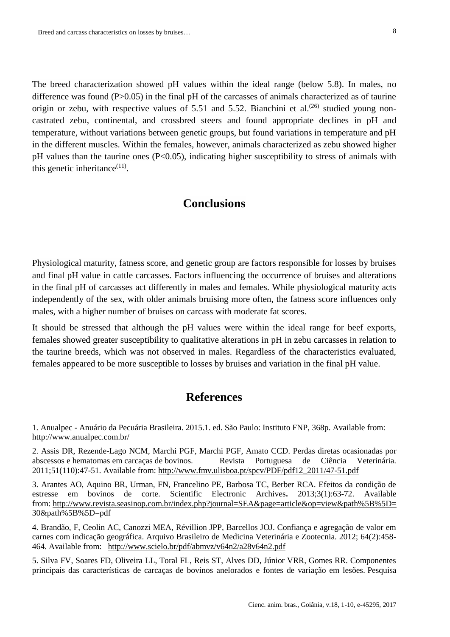The breed characterization showed pH values within the ideal range (below 5.8). In males, no difference was found (P>0.05) in the final pH of the carcasses of animals characterized as of taurine origin or zebu, with respective values of 5.51 and 5.52. Bianchini et al.<sup>(26)</sup> studied young noncastrated zebu, continental, and crossbred steers and found appropriate declines in pH and temperature, without variations between genetic groups, but found variations in temperature and pH in the different muscles. Within the females, however, animals characterized as zebu showed higher pH values than the taurine ones (P<0.05), indicating higher susceptibility to stress of animals with this genetic inheritance $(11)$ .

#### **Conclusions**

Physiological maturity, fatness score, and genetic group are factors responsible for losses by bruises and final pH value in cattle carcasses. Factors influencing the occurrence of bruises and alterations in the final pH of carcasses act differently in males and females. While physiological maturity acts independently of the sex, with older animals bruising more often, the fatness score influences only males, with a higher number of bruises on carcass with moderate fat scores.

It should be stressed that although the pH values were within the ideal range for beef exports, females showed greater susceptibility to qualitative alterations in pH in zebu carcasses in relation to the taurine breeds, which was not observed in males. Regardless of the characteristics evaluated, females appeared to be more susceptible to losses by bruises and variation in the final pH value.

### **References**

1. Anualpec - Anuário da Pecuária Brasileira. 2015.1. ed. São Paulo: Instituto FNP, 368p. Available from: <http://www.anualpec.com.br/>

2. Assis DR, Rezende-Lago NCM, Marchi PGF, Marchi PGF, Amato CCD. Perdas diretas ocasionadas por abscessos e hematomas em carcaças de bovinos. Revista Portuguesa de Ciência Veterinária. 2011;51(110):47-51. Available from: [http://www.fmv.ulisboa.pt/spcv/PDF/pdf12\\_2011/47-51.pdf](http://www.fmv.ulisboa.pt/spcv/PDF/pdf12_2011/47-51.pdf)

3. Arantes AO, Aquino BR, Urman, FN, Francelino PE, Barbosa TC, Berber RCA. Efeitos da condição de estresse em bovinos de corte. Scientific Electronic Archives**.** 2013;3(1):63-72. Available from: [http://www.revista.seasinop.com.br/index.php?journal=SEA&page=article&op=view&path%5B%5D=](http://www.revista.seasinop.com.br/index.php?journal=SEA&page=article&op=view&path%5B%5D=30&path%5B%5D=pdf) [30&path%5B%5D=pdf](http://www.revista.seasinop.com.br/index.php?journal=SEA&page=article&op=view&path%5B%5D=30&path%5B%5D=pdf)

4. Brandão, F, Ceolin AC, Canozzi MEA, Révillion JPP, Barcellos JOJ. Confiança e agregação de valor em carnes com indicação geográfica. Arquivo Brasileiro de Medicina Veterinária e Zootecnia. 2012; 64(2):458- 464. Available from: <http://www.scielo.br/pdf/abmvz/v64n2/a28v64n2.pdf>

5. Silva FV, Soares FD, Oliveira LL, Toral FL, Reis ST, Alves DD, Júnior VRR, Gomes RR. Componentes principais das características de carcaças de bovinos anelorados e fontes de variação em lesões. Pesquisa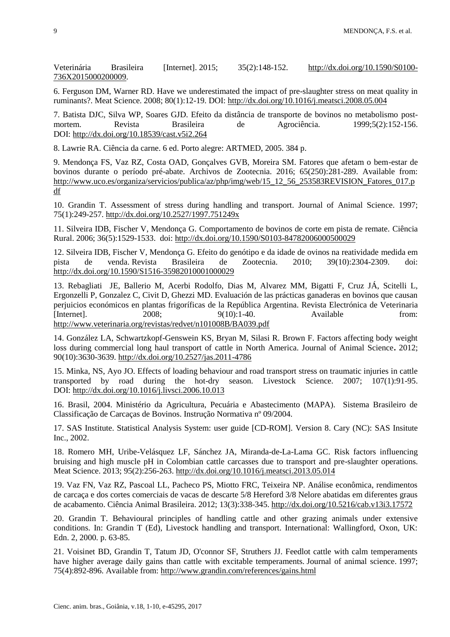Veterinária Brasileira [Internet]. 2015; 35(2):148-152. [http://dx.doi.org/10.1590/S0100-](http://dx.doi.org/10.1590/S0100-736X2015000200009) [736X2015000200009.](http://dx.doi.org/10.1590/S0100-736X2015000200009)

6. Ferguson DM, Warner RD. Have we underestimated the impact of pre-slaughter stress on meat quality in ruminants?. Meat Science. 2008; 80(1):12-19. DOI:<http://dx.doi.org/10.1016/j.meatsci.2008.05.004>

7. Batista DJC, Silva WP, Soares GJD. Efeito da distância de transporte de bovinos no metabolismo postmortem. Revista Brasileira de Agrociência. 1999;5(2):152-156. DOI: <http://dx.doi.org/10.18539/cast.v5i2.264>

8. Lawrie RA. Ciência da carne. 6 ed. Porto alegre: ARTMED, 2005. 384 p.

9. Mendonça FS, Vaz RZ, Costa OAD, Gonçalves GVB, Moreira SM. Fatores que afetam o bem-estar de bovinos durante o período pré-abate. Archivos de Zootecnia. 2016; 65(250):281-289. Available from: [http://www.uco.es/organiza/servicios/publica/az/php/img/web/15\\_12\\_56\\_253583REVISION\\_Fatores\\_017.p](http://www.uco.es/organiza/servicios/publica/az/php/img/web/15_12_56_253583REVISION_Fatores_017.pdf) [df](http://www.uco.es/organiza/servicios/publica/az/php/img/web/15_12_56_253583REVISION_Fatores_017.pdf)

10. Grandin T. Assessment of stress during handling and transport. Journal of Animal Science. 1997; 75(1):249-257.<http://dx.doi.org/10.2527/1997.751249x>

11. Silveira IDB, Fischer V, Mendonça G. Comportamento de bovinos de corte em pista de remate. Ciência Rural. 2006; 36(5):1529-1533. doi:<http://dx.doi.org/10.1590/S0103-84782006000500029>

12. Silveira IDB, Fischer V, Mendonça G. Efeito do genótipo e da idade de ovinos na reatividade medida em pista de venda. Revista Brasileira de Zootecnia. 2010; 39(10):2304-2309. doi: <http://dx.doi.org/10.1590/S1516-35982010001000029>

13. Rebagliati JE, Ballerio M, Acerbi Rodolfo, Dias M, Alvarez MM, Bigatti F, Cruz JÁ, Scitelli L, Ergonzelli P, Gonzalez C, Civit D, Ghezzi MD. Evaluación de las prácticas ganaderas en bovinos que causan perjuicios económicos en plantas frigoríficas de la República Argentina. Revista Electrónica de Veterinaria [Internet]. 2008; 9(10):1-40. Available from: <http://www.veterinaria.org/revistas/redvet/n101008B/BA039.pdf>

14. González LA, Schwartzkopf-Genswein KS, Bryan M, Silasi R. Brown F. Factors affecting body weight loss during commercial long haul transport of cattle in North America. Journal of Animal Science**.** 2012; 90(10):3630-3639.<http://dx.doi.org/10.2527/jas.2011-4786>

15. Minka, NS, Ayo JO. Effects of loading behaviour and road transport stress on traumatic injuries in cattle transported by road during the hot-dry season. Livestock Science. 2007; 107(1):91-95. DOI: <http://dx.doi.org/10.1016/j.livsci.2006.10.013>

16. Brasil, 2004. Ministério da Agricultura, Pecuária e Abastecimento (MAPA). Sistema Brasileiro de Classificação de Carcaças de Bovinos. Instrução Normativa nº 09/2004.

17. SAS Institute. Statistical Analysis System: user guide [CD-ROM]. Version 8. Cary (NC): SAS Insitute Inc., 2002.

18. Romero MH, Uribe-Velásquez LF, Sánchez JA, Miranda-de-La-Lama GC. Risk factors influencing bruising and high muscle pH in Colombian cattle carcasses due to transport and pre-slaughter operations. Meat Science. 2013; 95(2):256-263.<http://dx.doi.org/10.1016/j.meatsci.2013.05.014>

19. Vaz FN, Vaz RZ, Pascoal LL, Pacheco PS, Miotto FRC, Teixeira NP. Análise econômica, rendimentos de carcaça e dos cortes comerciais de vacas de descarte 5/8 Hereford 3/8 Nelore abatidas em diferentes graus de acabamento. Ciência Animal Brasileira. 2012; 13(3):338-345.<http://dx.doi.org/10.5216/cab.v13i3.17572>

20. Grandin T. Behavioural principles of handling cattle and other grazing animals under extensive conditions. In: Grandin T (Ed), Livestock handling and transport. International: Wallingford, Oxon, UK: Edn. 2, 2000. p. 63-85.

21. Voisinet BD, Grandin T, Tatum JD, O'connor SF, Struthers JJ. Feedlot cattle with calm temperaments have higher average daily gains than cattle with excitable temperaments. Journal of animal science. 1997; 75(4):892-896. Available from:<http://www.grandin.com/references/gains.html>